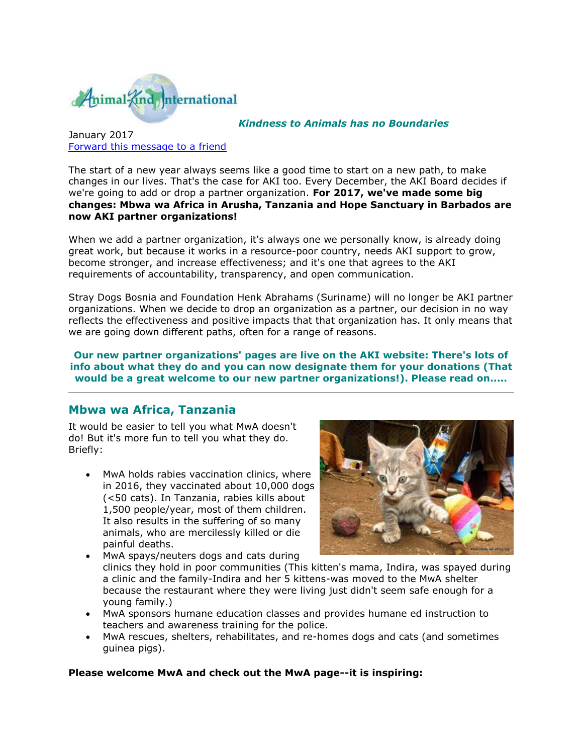

#### *Kindness to Animals has no Boundaries*

### January 2017 [Forward this message to a friend](http://oi.vresp.com/f2af/v4/send_to_friend.html?ch=17d26a44bf&lid=284351439&ldh=f33df9aebc)

The start of a new year always seems like a good time to start on a new path, to make changes in our lives. That's the case for AKI too. Every December, the AKI Board decides if we're going to add or drop a partner organization. **For 2017, we've made some big changes: Mbwa wa Africa in Arusha, Tanzania and Hope Sanctuary in Barbados are now AKI partner organizations!** 

When we add a partner organization, it's always one we personally know, is already doing great work, but because it works in a resource-poor country, needs AKI support to grow, become stronger, and increase effectiveness; and it's one that agrees to the AKI requirements of accountability, transparency, and open communication.

Stray Dogs Bosnia and Foundation Henk Abrahams (Suriname) will no longer be AKI partner organizations. When we decide to drop an organization as a partner, our decision in no way reflects the effectiveness and positive impacts that that organization has. It only means that we are going down different paths, often for a range of reasons.

**Our new partner organizations' pages are live on the AKI website: There's lots of info about what they do and you can now designate them for your donations (That would be a great welcome to our new partner organizations!). Please read on.....**

### **Mbwa wa Africa, Tanzania**

It would be easier to tell you what MwA doesn't do! But it's more fun to tell you what they do. Briefly:

• MwA holds rabies vaccination clinics, where in 2016, they vaccinated about 10,000 dogs (<50 cats). In Tanzania, rabies kills about 1,500 people/year, most of them children. It also results in the suffering of so many animals, who are mercilessly killed or die painful deaths.



- MwA spays/neuters dogs and cats during clinics they hold in poor communities (This kitten's mama, Indira, was spayed during a clinic and the family-Indira and her 5 kittens-was moved to the MwA shelter because the restaurant where they were living just didn't seem safe enough for a young family.)
- MwA sponsors humane education classes and provides humane ed instruction to teachers and awareness training for the police.
- MwA rescues, shelters, rehabilitates, and re-homes dogs and cats (and sometimes guinea pigs).

**Please welcome MwA and check out the MwA page--it is inspiring:**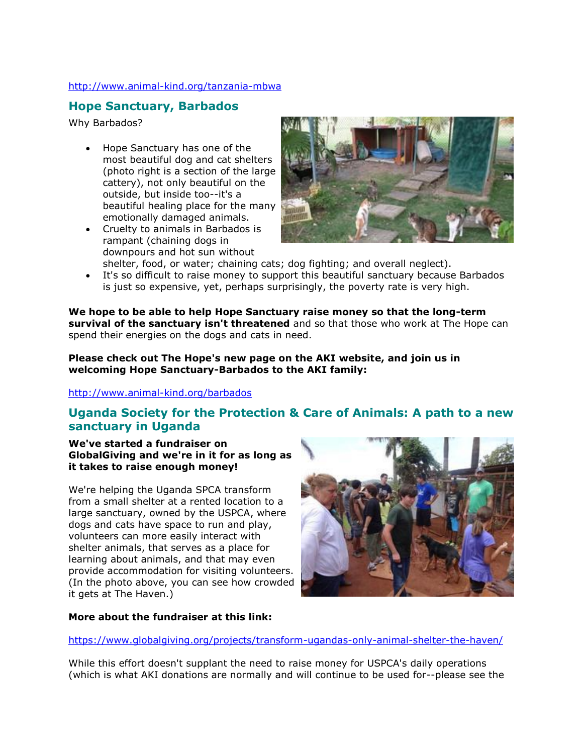### [http://www.animal-kind.org/tanzania-mbwa](http://cts.vresp.com/c/?AnimalKindInternatio/17d26a44bf/f33df9aebc/42c5e1e208)

# **Hope Sanctuary, Barbados**

Why Barbados?

- Hope Sanctuary has one of the most beautiful dog and cat shelters (photo right is a section of the large cattery), not only beautiful on the outside, but inside too--it's a beautiful healing place for the many emotionally damaged animals.
- Cruelty to animals in Barbados is rampant (chaining dogs in downpours and hot sun without



shelter, food, or water; chaining cats; dog fighting; and overall neglect). It's so difficult to raise money to support this beautiful sanctuary because Barbados is just so expensive, yet, perhaps surprisingly, the poverty rate is very high.

**We hope to be able to help Hope Sanctuary raise money so that the long-term survival of the sanctuary isn't threatened** and so that those who work at The Hope can spend their energies on the dogs and cats in need.

**Please check out The Hope's new page on the AKI website, and join us in welcoming Hope Sanctuary-Barbados to the AKI family:**

### [http://www.animal-kind.org/barbados](http://cts.vresp.com/c/?AnimalKindInternatio/17d26a44bf/f33df9aebc/726ec79f36)

## **Uganda Society for the Protection & Care of Animals: A path to a new sanctuary in Uganda**

#### **We've started a fundraiser on GlobalGiving and we're in it for as long as it takes to raise enough money!**

We're helping the Uganda SPCA transform from a small shelter at a rented location to a large sanctuary, owned by the USPCA, where dogs and cats have space to run and play, volunteers can more easily interact with shelter animals, that serves as a place for learning about animals, and that may even provide accommodation for visiting volunteers. (In the photo above, you can see how crowded it gets at The Haven.)



### **More about the fundraiser at this link:**

[https://www.globalgiving.org/projects/transform-ugandas-only-animal-shelter-the-haven/](http://cts.vresp.com/c/?AnimalKindInternatio/17d26a44bf/f33df9aebc/4ccf63601c)

While this effort doesn't supplant the need to raise money for USPCA's daily operations (which is what AKI donations are normally and will continue to be used for--please see the